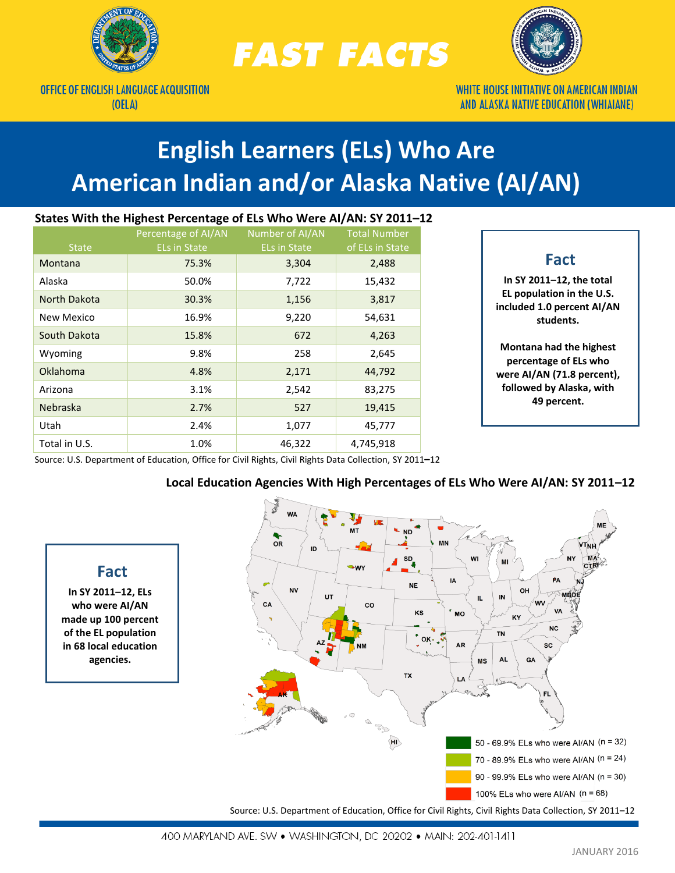

**OFFICE OF ENGLISH LANGUAGE ACQUISITION** 

 $(OELA)$ 

**Fact In SY 2011–12, ELs who were AI/AN made up 100 percent of the EL population in 68 local education agencies.**

**FAST FACTS** 



**WHITE HOUSE INITIATIVE ON AMERICAN INDIAN** AND ALASKA NATIVE EDUCATION (WHIAIANE)

# **English Learners (ELs) Who Are American Indian and/or Alaska Native (AI/AN)**

# **States With the Highest Percentage of ELs Who Were AI/AN: SY 2011–12**

| <b>State</b>    | Percentage of AI/AN<br><b>ELs in State</b> | Number of AI/AN<br><b>ELs in State</b> | <b>Total Number</b><br>of ELs in State |
|-----------------|--------------------------------------------|----------------------------------------|----------------------------------------|
| Montana         | 75.3%                                      | 3,304                                  | 2,488                                  |
| Alaska          | 50.0%                                      | 7,722                                  | 15,432                                 |
| North Dakota    | 30.3%                                      | 1,156                                  | 3,817                                  |
| New Mexico      | 16.9%                                      | 9,220                                  | 54,631                                 |
| South Dakota    | 15.8%                                      | 672                                    | 4,263                                  |
| Wyoming         | 9.8%                                       | 258                                    | 2,645                                  |
| <b>Oklahoma</b> | 4.8%                                       | 2,171                                  | 44,792                                 |
| Arizona         | 3.1%                                       | 2,542                                  | 83,275                                 |
| <b>Nebraska</b> | 2.7%                                       | 527                                    | 19,415                                 |
| Utah            | 2.4%                                       | 1,077                                  | 45,777                                 |
| Total in U.S.   | 1.0%                                       | 46,322                                 | 4,745,918                              |

# **Fact**

**In SY 2011–12, the total EL population in the U.S. included 1.0 percent AI/AN students.** 

**Montana had the highest percentage of ELs who were AI/AN (71.8 percent), followed by Alaska, with 49 percent.**

Source: U.S. Department of Education, Office for Civil Rights, Civil Rights Data Collection, SY 2011**–**12

#### **WA ND**  $OR$ **MN** ID MI **IA** P۵ **NE NV** OH мñп UT IN  $\mathbf{L}$ **CA**  $_{\rm co}$ **WV VA** KS **MO** KY **NC TN** OK-**AR SC AL GA**  $MS$ **TX** Se  $\overline{H}$ 50 - 69.9% ELs who were AI/AN (n = 32) 70 - 89.9% ELs who were AI/AN (n = 24) 90 - 99.9% ELs who were Al/AN (n = 30) 100% ELs who were AI/AN  $(n = 68)$ Source: U.S. Department of Education, Office for Civil Rights, Civil Rights Data Collection, SY 2011**–**12

# **Local Education Agencies With High Percentages of ELs Who Were AI/AN: SY 2011–12**

400 MARYLAND AVE. SW . WASHINGTON, DC 20202 . MAIN: 202-401-1411